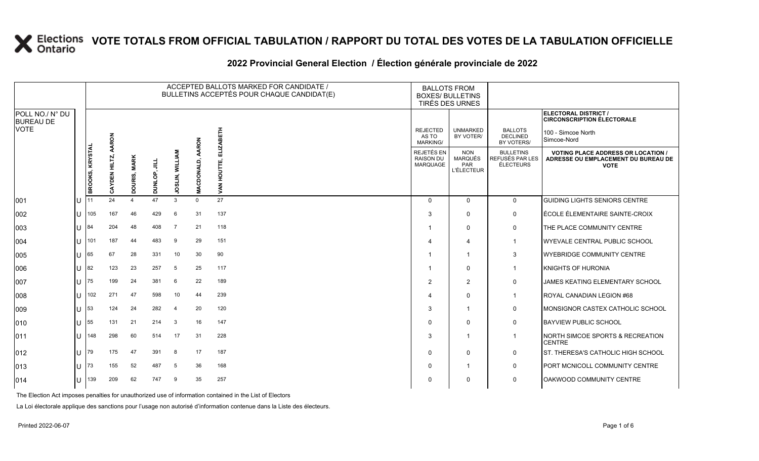|                                     |                 |                                    |                        |              |                           |                |                                 | ACCEPTED BALLOTS MARKED FOR CANDIDATE /<br>BULLETINS ACCEPTÉS POUR CHAQUE CANDIDAT(E) |                                                   | <b>BALLOTS FROM</b><br><b>BOXES/ BULLETINS</b><br>TIRÉS DES URNES |                                                                                                 |                                                           |
|-------------------------------------|-----------------|------------------------------------|------------------------|--------------|---------------------------|----------------|---------------------------------|---------------------------------------------------------------------------------------|---------------------------------------------------|-------------------------------------------------------------------|-------------------------------------------------------------------------------------------------|-----------------------------------------------------------|
| POLL NO./ N° DU<br><b>BUREAU DE</b> |                 |                                    |                        |              |                           |                |                                 |                                                                                       |                                                   |                                                                   |                                                                                                 | ELECTORAL DISTRICT /<br><b>CIRCONSCRIPTION ÉLECTORALE</b> |
| <b>VOTE</b>                         |                 |                                    | AARON                  |              |                           |                | <b>AARON</b>                    | <b>HIBE</b><br>N                                                                      | <b>REJECTED</b><br>AS TO<br><b>MARKING/</b>       | <b>UNMARKED</b><br>BY VOTER/                                      | <b>BALLOTS</b><br><b>DECLINED</b><br>BY VOTERS/                                                 | 100 - Simcoe North<br>Simcoe-Nord                         |
|                                     | BROOKS, KRYSTAL | HILTZ,<br>$\mathbf{z}$<br>퍔<br>CAY | <b>MARK</b><br>DOURIS, | 킄<br>DUNLOP, | <b>WILLIAM</b><br>JOSLIN, | MACDONALD      | 긆<br>шi<br>5<br>오<br><b>VAN</b> | REJETÉS EN<br><b>RAISON DU</b><br>MARQUAGE                                            | <b>NON</b><br>MARQUÉS<br>PAR<br><b>L'ÉLECTEUR</b> | <b>BULLETINS</b><br><b>REFUSÉS PAR LES</b><br><b>ÉLECTEURS</b>    | <b>VOTING PLACE ADDRESS OR LOCATION /</b><br>ADRESSE OU EMPLACEMENT DU BUREAU DE<br><b>VOTE</b> |                                                           |
| 001                                 | ΙU              |                                    | 24                     |              | 47                        | 3              | $\mathbf 0$                     | 27                                                                                    | $\Omega$                                          | $\Omega$                                                          | $\mathbf 0$                                                                                     | <b>GUIDING LIGHTS SENIORS CENTRE</b>                      |
| 002                                 | ПT              | 105                                | 167                    | 46           | 429                       | 6              | 31                              | 137                                                                                   | 3                                                 | 0                                                                 | 0                                                                                               | ÉCOLE ÉLEMENTAIRE SAINTE-CROIX                            |
| 003                                 | U               | 184                                | 204                    | 48           | 408                       | $\overline{7}$ | 21                              | 118                                                                                   |                                                   | 0                                                                 | 0                                                                                               | THE PLACE COMMUNITY CENTRE                                |
| 004                                 | ПT              | 101                                | 187                    | 44           | 483                       | 9              | 29                              | 151                                                                                   |                                                   | $\overline{4}$                                                    | $\mathbf{1}$                                                                                    | WYEVALE CENTRAL PUBLIC SCHOOL                             |
| 005                                 | U               | 65                                 | 67                     | 28           | 331                       | 10             | 30                              | 90                                                                                    |                                                   | -1                                                                | 3                                                                                               | <b>WYEBRIDGE COMMUNITY CENTRE</b>                         |
| 006                                 | U               | 82                                 | 123                    | 23           | 257                       | 5              | 25                              | 117                                                                                   |                                                   | $\mathbf 0$                                                       | $\mathbf{1}$                                                                                    | KNIGHTS OF HURONIA                                        |
| 007                                 | ПT              | 75                                 | 199                    | 24           | 381                       | 6              | 22                              | 189                                                                                   | 2                                                 | 2                                                                 | $\mathbf 0$                                                                                     | <b>JAMES KEATING ELEMENTARY SCHOOL</b>                    |
| 008                                 | $\mathbf{U}$    | 102                                | 271                    | 47           | 598                       | 10             | 44                              | 239                                                                                   |                                                   | 0                                                                 | $\mathbf{1}$                                                                                    | ROYAL CANADIAN LEGION #68                                 |
| 009                                 | U               | 53                                 | 124                    | 24           | 282                       | $\overline{4}$ | 20                              | 120                                                                                   | 3                                                 | -1                                                                | $\mathbf 0$                                                                                     | MONSIGNOR CASTEX CATHOLIC SCHOOL                          |
| 010                                 | Ш               | 55                                 | 131                    | 21           | 214                       | 3              | 16                              | 147                                                                                   | $\Omega$                                          | $\Omega$                                                          | 0                                                                                               | <b>BAYVIEW PUBLIC SCHOOL</b>                              |
| 011                                 | ПT              | 148                                | 298                    | 60           | 514                       | 17             | 31                              | 228                                                                                   | 3                                                 | -1                                                                | $\mathbf{1}$                                                                                    | NORTH SIMCOE SPORTS & RECREATION<br><b>CENTRE</b>         |
| 012                                 | U               | 179                                | 175                    | 47           | 391                       | 8              | 17                              | 187                                                                                   | $\Omega$                                          | 0                                                                 | 0                                                                                               | ST. THERESA'S CATHOLIC HIGH SCHOOL                        |
| 013                                 | U               | 173                                | 155                    | 52           | 487                       | 5              | 36                              | 168                                                                                   | $\Omega$                                          | -1                                                                | 0                                                                                               | PORT MCNICOLL COMMUNITY CENTRE                            |
| 014                                 |                 | U 139                              | 209                    | 62           | 747                       | 9              | 35                              | 257                                                                                   | 0                                                 | $\mathbf{0}$                                                      | $\mathbf 0$                                                                                     | OAKWOOD COMMUNITY CENTRE                                  |

#### 2022 Provincial General Election / Election générale provinciale de 2022

The Election Act imposes penalties for unauthorized use of information contained in the List of Electors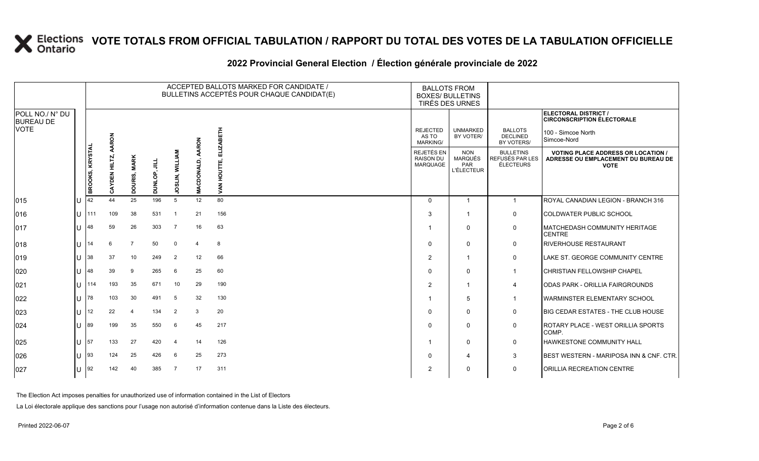|              |                                                                                                                                  |                |         |                |                        |                            |                                                                                                                |                                                          |                                                                   | ELECTORAL DISTRICT /<br><b>CIRCONSCRIPTION ÉLECTORALE</b>                                       |
|--------------|----------------------------------------------------------------------------------------------------------------------------------|----------------|---------|----------------|------------------------|----------------------------|----------------------------------------------------------------------------------------------------------------|----------------------------------------------------------|-------------------------------------------------------------------|-------------------------------------------------------------------------------------------------|
|              |                                                                                                                                  |                |         |                |                        |                            | <b>REJECTED</b><br>AS TO<br><b>MARKING/</b>                                                                    | <b>UNMARKED</b><br>BY VOTER/                             | <b>BALLOTS</b><br><b>DECLINED</b><br>BY VOTERS/                   | 100 - Simcoe North<br>Simcoe-Nord                                                               |
|              | HILTZ,<br>AYDEN1<br>σ                                                                                                            | <b>MARK</b>    | 킄       |                |                        | 긊<br>HOUTTE,               | REJETÉS EN<br><b>RAISON DU</b><br><b>MARQUAGE</b>                                                              | <b>NON</b><br><b>MARQUÉS</b><br>PAR<br><b>L'ÉLECTEUR</b> | <b>BULLETINS</b><br>REFUSÉS PAR LES<br>ÉLECTEURS                  | <b>VOTING PLACE ADDRESS OR LOCATION /</b><br>ADRESSE OU EMPLACEMENT DU BUREAU DE<br><b>VOTE</b> |
|              | 44                                                                                                                               | 25             | 196     | $5^{\circ}$    | 12                     | 80                         | $\Omega$                                                                                                       | -1                                                       | $\overline{1}$                                                    | ROYAL CANADIAN LEGION - BRANCH 316                                                              |
| u            | 109                                                                                                                              | 38             | 531     |                | 21                     | 156                        | 3                                                                                                              |                                                          | 0                                                                 | <b>COLDWATER PUBLIC SCHOOL</b>                                                                  |
|              | 59                                                                                                                               | 26             | 303     | $\overline{7}$ | 16                     | 63                         |                                                                                                                | 0                                                        | 0                                                                 | <b>IMATCHEDASH COMMUNITY HERITAGE</b><br><b>CENTRE</b>                                          |
| $\mathbf{U}$ | 6                                                                                                                                | $\overline{7}$ | 50      | $\mathbf 0$    | $\mathbf 4$            | 8                          | $\Omega$                                                                                                       | $\mathbf{0}$                                             | $\mathbf 0$                                                       | <b>RIVERHOUSE RESTAURANT</b>                                                                    |
|              | 37                                                                                                                               | 10             | 249     | $\overline{2}$ | 12                     | 66                         | $\overline{2}$                                                                                                 | -1                                                       | $\mathbf 0$                                                       | LAKE ST. GEORGE COMMUNITY CENTRE                                                                |
| $\mathbf{U}$ | 39                                                                                                                               | 9              | 265     | 6              | 25                     | 60                         | $\Omega$                                                                                                       | $\Omega$                                                 | -1                                                                | <b>ICHRISTIAN FELLOWSHIP CHAPEL</b>                                                             |
| $\mathbf{U}$ | 193                                                                                                                              | 35             | 671     | 10             | 29                     | 190                        | $\overline{2}$                                                                                                 |                                                          | 4                                                                 | ODAS PARK - ORILLIA FAIRGROUNDS                                                                 |
| U            | 103                                                                                                                              | 30             | 491     | 5              | 32                     | 130                        |                                                                                                                | 5                                                        | $\overline{1}$                                                    | <b>I</b> WARMINSTER ELEMENTARY SCHOOL                                                           |
| U            | 22                                                                                                                               | $\overline{4}$ | 134     | 2              | 3                      | 20                         | $\Omega$                                                                                                       | 0                                                        | 0                                                                 | <b>IBIG CEDAR ESTATES - THE CLUB HOUSE</b>                                                      |
|              | 199                                                                                                                              | 35             | 550     | 6              | 45                     | 217                        | $\Omega$                                                                                                       | $\mathbf{0}$                                             | 0                                                                 | ROTARY PLACE - WEST ORILLIA SPORTS<br>COMP.                                                     |
| $\mathbf{U}$ | 133                                                                                                                              | 27             | 420     | $\overline{4}$ | 14                     | 126                        |                                                                                                                | 0                                                        | $\mathbf 0$                                                       | <b>HAWKESTONE COMMUNITY HALL</b>                                                                |
|              | 124                                                                                                                              | 25             | 426     | 6              | 25                     | 273                        | $\Omega$                                                                                                       | 4                                                        | 3                                                                 | <b>IBEST WESTERN - MARIPOSA INN &amp; CNF. CTR.</b>                                             |
| ΙU           | 142                                                                                                                              | 40             | 385     | 7              | 17                     | 311                        | $\overline{2}$                                                                                                 | 0                                                        | $\mathbf 0$                                                       | <b>JORILLIA RECREATION CENTRE</b>                                                               |
|              | BROOKS, KRYSTAL<br>142<br>1111<br>48<br> 14<br> 38 <br>48<br>1114<br>78<br>$ 12\rangle$<br>89<br>$\sqrt{57}$<br>$\vert$ 93<br>92 | AARON          | DOURIS, | DUNLOP,        | <b>JOSLIN, WILLIAM</b> | AARON<br><b>MACDONALD,</b> | ACCEPTED BALLOTS MARKED FOR CANDIDATE /<br>BULLETINS ACCEPTÉS POUR CHAQUE CANDIDAT(E)<br><b>IZABETH</b><br>VAN |                                                          | <b>BALLOTS FROM</b><br><b>BOXES/ BULLETINS</b><br>TIRÉS DES URNES |                                                                                                 |

#### **2022 Provincial General Election / Élection générale provinciale de 2022**

The Election Act imposes penalties for unauthorized use of information contained in the List of Electors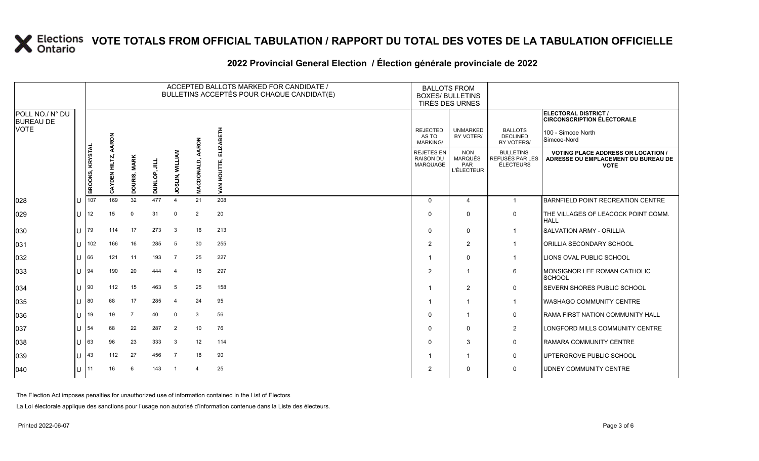|                                     |   |                 |                      |                        |              |                        |                         | ACCEPTED BALLOTS MARKED FOR CANDIDATE /<br>BULLETINS ACCEPTÉS POUR CHAQUE CANDIDAT(E) |                                                          | <b>BALLOTS FROM</b><br><b>BOXES/ BULLETINS</b><br><b>TIRÉS DES URNES</b> |                                                         |                                                                                                 |
|-------------------------------------|---|-----------------|----------------------|------------------------|--------------|------------------------|-------------------------|---------------------------------------------------------------------------------------|----------------------------------------------------------|--------------------------------------------------------------------------|---------------------------------------------------------|-------------------------------------------------------------------------------------------------|
| POLL NO./ N° DU<br><b>BUREAU DE</b> |   |                 |                      |                        |              |                        |                         |                                                                                       |                                                          |                                                                          |                                                         | ELECTORAL DISTRICT /<br><b>CIRCONSCRIPTION ÉLECTORALE</b>                                       |
| <b>VOTE</b>                         |   |                 | AARON                |                        |              |                        | RON                     | 띺<br>ᆱ                                                                                | <b>REJECTED</b><br>AS TO<br><b>MARKING/</b>              | <b>UNMARKED</b><br>BY VOTER/                                             | <b>BALLOTS</b><br><b>DECLINED</b><br>BY VOTERS/         | 100 - Simcoe North<br>Simcoe-Nord                                                               |
|                                     |   | BROOKS, KRYSTAL | <b>CAYDEN HILTZ,</b> | <b>MARK</b><br>DOURIS, | DUNLOP, JILL | <b>JOSLIN, WILLIAM</b> | <b>DONALD</b><br>ᅙ<br>Š | <b>NAV</b>                                                                            | <b>REJETÉS EN</b><br><b>RAISON DU</b><br><b>MARQUAGE</b> | <b>NON</b><br>MARQUÉS<br>PAR<br><b>L'ÉLECTEUR</b>                        | <b>BULLETINS</b><br>REFUSÉS PAR LES<br><b>ÉLECTEURS</b> | <b>VOTING PLACE ADDRESS OR LOCATION /</b><br>ADRESSE OU EMPLACEMENT DU BUREAU DE<br><b>VOTE</b> |
| 028                                 |   | 107             | 169                  | 32                     | 477          | $\overline{4}$         | 21                      | 208                                                                                   | $\Omega$                                                 | $\overline{4}$                                                           | $\overline{1}$                                          | BARNFIELD POINT RECREATION CENTRE                                                               |
| 029                                 | U | 12              | 15                   | $\Omega$               | 31           | $\mathbf 0$            | $\overline{2}$          | 20                                                                                    | $\Omega$                                                 | $\Omega$                                                                 | $\mathbf 0$                                             | THE VILLAGES OF LEACOCK POINT COMM.<br><b>HALL</b>                                              |
| 030                                 | U | 79              | 114                  | 17                     | 273          | 3                      | 16                      | 213                                                                                   | $\Omega$                                                 | $\mathbf 0$                                                              | - 1                                                     | <b>SALVATION ARMY - ORILLIA</b>                                                                 |
| 031                                 | U | 102             | 166                  | 16                     | 285          | 5                      | 30                      | 255                                                                                   | 2                                                        | $\overline{2}$                                                           |                                                         | ORILLIA SECONDARY SCHOOL                                                                        |
| 032                                 | H | 166             | 121                  | 11                     | 193          | $\overline{7}$         | 25                      | 227                                                                                   |                                                          | $\Omega$                                                                 |                                                         | LIONS OVAL PUBLIC SCHOOL                                                                        |
| 033                                 | U | 94              | 190                  | 20                     | 444          | $\overline{4}$         | 15                      | 297                                                                                   | $\overline{2}$                                           |                                                                          | 6                                                       | MONSIGNOR LEE ROMAN CATHOLIC<br>SCHOOL                                                          |
| 034                                 | U | 90              | 112                  | 15                     | 463          | 5                      | 25                      | 158                                                                                   |                                                          | 2                                                                        | $\mathbf 0$                                             | <b>SEVERN SHORES PUBLIC SCHOOL</b>                                                              |
| 035                                 | U | 80              | 68                   | 17                     | 285          | $\overline{4}$         | 24                      | 95                                                                                    |                                                          | -1                                                                       |                                                         | <b>WASHAGO COMMUNITY CENTRE</b>                                                                 |
| 036                                 | П | 19              | 19                   | $\overline{7}$         | 40           | $\Omega$               | 3                       | 56                                                                                    | $\Omega$                                                 | -1                                                                       | $\mathbf 0$                                             | <b>RAMA FIRST NATION COMMUNITY HALL</b>                                                         |
| 037                                 | U | 54              | 68                   | 22                     | 287          | $\overline{2}$         | 10                      | 76                                                                                    | 0                                                        | $\Omega$                                                                 | $\overline{2}$                                          | LONGFORD MILLS COMMUNITY CENTRE                                                                 |
| 038                                 | U | 63              | 96                   | 23                     | 333          | 3                      | 12                      | 114                                                                                   | $\Omega$                                                 | 3                                                                        | $\mathbf 0$                                             | RAMARA COMMUNITY CENTRE                                                                         |
| 039                                 |   | 43              | 112                  | 27                     | 456          | $\overline{7}$         | 18                      | 90                                                                                    |                                                          |                                                                          | $\mathbf 0$                                             | UPTERGROVE PUBLIC SCHOOL                                                                        |
| 040                                 |   | IJ 111          | 16                   | 6                      | 143          | - 1                    | -4                      | 25                                                                                    | $\overline{2}$                                           | $\Omega$                                                                 | $\mathbf 0$                                             | <b>UDNEY COMMUNITY CENTRE</b>                                                                   |

#### **2022 Provincial General Election / Élection générale provinciale de 2022**

The Election Act imposes penalties for unauthorized use of information contained in the List of Electors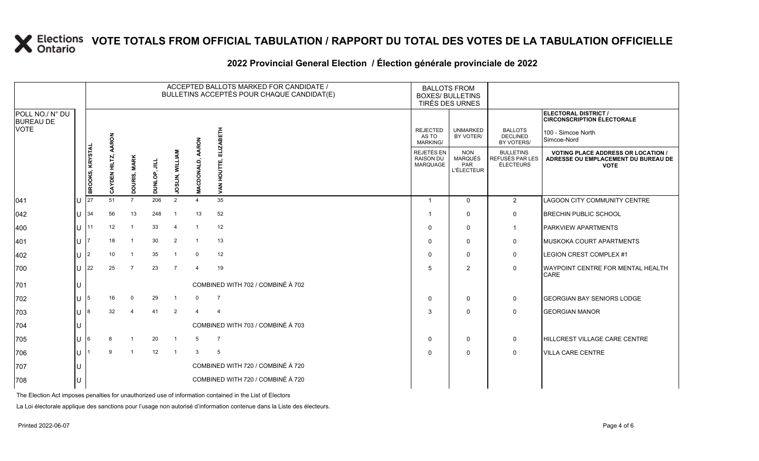|                                     |                 | ACCEPTED BALLOTS MARKED FOR CANDIDATE /<br>BULLETINS ACCEPTÉS POUR CHAQUE CANDIDAT(E) |              |                |                        |                |                        |                                                          |                                                          | <b>BALLOTS FROM</b><br><b>BOXES/ BULLETINS</b><br>TIRÉS DES URNES |                                                                                                 |                                                                  |
|-------------------------------------|-----------------|---------------------------------------------------------------------------------------|--------------|----------------|------------------------|----------------|------------------------|----------------------------------------------------------|----------------------------------------------------------|-------------------------------------------------------------------|-------------------------------------------------------------------------------------------------|------------------------------------------------------------------|
| POLL NO./ N° DU<br><b>BUREAU DE</b> |                 |                                                                                       |              |                |                        |                |                        |                                                          |                                                          |                                                                   |                                                                                                 | <b>ELECTORAL DISTRICT /</b><br><b>CIRCONSCRIPTION ÉLECTORALE</b> |
| <b>VOTE</b>                         |                 |                                                                                       | AARON        |                |                        |                | <b>RON</b>             | 舌                                                        | <b>REJECTED</b><br>AS TO<br><b>MARKING/</b>              | <b>UNMARKED</b><br>BY VOTER/                                      | <b>BALLOTS</b><br><b>DECLINED</b><br>BY VOTERS/                                                 | 100 - Simcoe North<br>Simcoe-Nord                                |
|                                     | BROOKS, KRYSTAL | CAYDEN HILTZ,                                                                         | DOURIS, MARK | DUNLOP, JILL   | <b>JOSLIN, WILLIAM</b> | DONALD,<br>Š   | VAN                    | <b>REJETÉS EN</b><br><b>RAISON DU</b><br><b>MARQUAGE</b> | <b>NON</b><br><b>MARQUÉS</b><br>PAR<br><b>L'ÉLECTEUR</b> | <b>BULLETINS</b><br>REFUSÉS PAR LES<br>ÉLECTEURS                  | <b>VOTING PLACE ADDRESS OR LOCATION /</b><br>ADRESSE OU EMPLACEMENT DU BUREAU DE<br><b>VOTE</b> |                                                                  |
| 041                                 |                 | 27                                                                                    | 51           | $\overline{7}$ | 206                    | $\overline{2}$ | $\overline{4}$         | 35                                                       |                                                          | $\mathbf 0$                                                       | 2                                                                                               | LAGOON CITY COMMUNITY CENTRE                                     |
| 042                                 | <b>ال</b>       | 34                                                                                    | 56           | 13             | 248                    | $\mathbf{1}$   | 13                     | 52                                                       |                                                          | $\Omega$                                                          | 0                                                                                               | <b>BRECHIN PUBLIC SCHOOL</b>                                     |
| 400                                 | υI              | 11                                                                                    | 12           |                | 33                     | $\overline{4}$ | -1                     | 12                                                       | 0                                                        | $\Omega$                                                          |                                                                                                 | <b>PARKVIEW APARTMENTS</b>                                       |
| 401                                 | U               |                                                                                       | 18           |                | 30                     | 2              | $\overline{1}$         | 13                                                       | $\Omega$                                                 | $\mathbf 0$                                                       | 0                                                                                               | MUSKOKA COURT APARTMENTS                                         |
| 402                                 | U               | 2                                                                                     | 10           | -1             | 35                     | -1             | $\overline{0}$         | 12                                                       | $\Omega$                                                 | $\mathbf 0$                                                       | 0                                                                                               | <b>LEGION CREST COMPLEX #1</b>                                   |
| 700                                 | U               | 22                                                                                    | 25           | $\overline{7}$ | 23                     | $\overline{7}$ | $\boldsymbol{\Lambda}$ | 19                                                       | 5                                                        | $\overline{2}$                                                    | $\mathbf 0$                                                                                     | WAYPOINT CENTRE FOR MENTAL HEALTH<br><b>CARE</b>                 |
| 701                                 |                 |                                                                                       |              |                |                        |                |                        | COMBINED WITH 702 / COMBINÉ À 702                        |                                                          |                                                                   |                                                                                                 |                                                                  |
| 702                                 |                 | $\mathsf{U}$ 15                                                                       | 16           | 0              | 29                     | -1             | $\mathbf 0$            | $\overline{7}$                                           | $\mathbf 0$                                              | $\mathbf 0$                                                       | $\mathbf 0$                                                                                     | <b>GEORGIAN BAY SENIORS LODGE</b>                                |
| 703                                 | U               | R.                                                                                    | 32           |                | 41                     | $\overline{2}$ | $\overline{4}$         | $\overline{4}$                                           | 3                                                        | $\Omega$                                                          | $\mathbf 0$                                                                                     | <b>GEORGIAN MANOR</b>                                            |
| 704                                 |                 |                                                                                       |              |                |                        |                |                        | COMBINED WITH 703 / COMBINÉ À 703                        |                                                          |                                                                   |                                                                                                 |                                                                  |
| 705                                 | U               | I6                                                                                    |              |                | 20                     | -1             | 5                      | $\overline{7}$                                           | $\Omega$                                                 | $\mathbf 0$                                                       | $\mathbf 0$                                                                                     | <b>HILLCREST VILLAGE CARE CENTRE</b>                             |
| 706                                 | U               |                                                                                       | 9            | $\overline{1}$ | 12                     | $\overline{1}$ | 3                      | 5                                                        | $\Omega$                                                 | $\mathbf 0$                                                       | $\mathbf 0$                                                                                     | <b>VILLA CARE CENTRE</b>                                         |
| 707                                 |                 |                                                                                       |              |                |                        |                |                        | COMBINED WITH 720 / COMBINÉ À 720                        |                                                          |                                                                   |                                                                                                 |                                                                  |
| 708                                 | U               |                                                                                       |              |                |                        |                |                        | COMBINED WITH 720 / COMBINÉ À 720                        |                                                          |                                                                   |                                                                                                 |                                                                  |

#### **2022 Provincial General Election / Élection générale provinciale de 2022**

The Election Act imposes penalties for unauthorized use of information contained in the List of Electors

La Loi électorale applique des sanctions pour l'usage non autorisé d'information contenue dans la Liste des électeurs.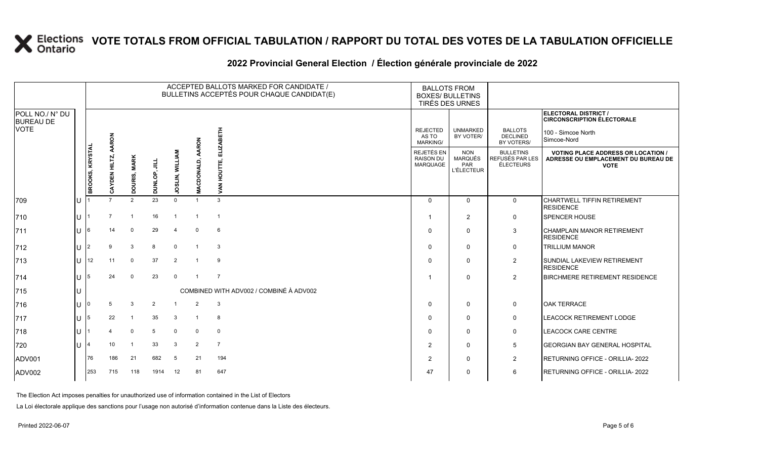|                                                    |              |                 |                      |                         |                     |                          |                         | ACCEPTED BALLOTS MARKED FOR CANDIDATE /<br>BULLETINS ACCEPTÉS POUR CHAQUE CANDIDAT(E) | <b>BALLOTS FROM</b><br><b>BOXES/ BULLETINS</b>           | TIRÉS DES URNES                                   |                                                         |                                                                                                 |
|----------------------------------------------------|--------------|-----------------|----------------------|-------------------------|---------------------|--------------------------|-------------------------|---------------------------------------------------------------------------------------|----------------------------------------------------------|---------------------------------------------------|---------------------------------------------------------|-------------------------------------------------------------------------------------------------|
| POLL NO./ N° DU<br><b>BUREAU DE</b><br><b>VOTE</b> |              |                 |                      |                         |                     |                          |                         |                                                                                       |                                                          |                                                   |                                                         | ELECTORAL DISTRICT /<br><b>CIRCONSCRIPTION ÉLECTORALE</b>                                       |
|                                                    |              |                 | AARON                |                         |                     |                          | <b>AARON</b>            | Ě                                                                                     | <b>REJECTED</b><br>AS TO<br><b>MARKING/</b>              | <b>UNMARKED</b><br>BY VOTER/                      | <b>BALLOTS</b><br><b>DECLINED</b><br>BY VOTERS/         | 100 - Simcoe North<br>Simcoe-Nord                                                               |
|                                                    |              | BROOKS, KRYSTAL | <b>CAYDEN HILTZ,</b> | DOURIS, MARK            | <b>DUNLOP, JILL</b> | LIN, WILLIAN<br>g<br>≍   | DONALD,<br>ō            | ₹                                                                                     | <b>REJETÉS EN</b><br><b>RAISON DU</b><br><b>MARQUAGE</b> | <b>NON</b><br>MARQUÉS<br>PAR<br><b>L'ÉLECTEUR</b> | <b>BULLETINS</b><br>REFUSÉS PAR LES<br><b>ÉLECTEURS</b> | <b>VOTING PLACE ADDRESS OR LOCATION /</b><br>ADRESSE OU EMPLACEMENT DU BUREAU DE<br><b>VOTE</b> |
| 709                                                |              |                 | $\overline{7}$       | $\overline{2}$          | 23                  | $\Omega$                 | $\overline{1}$          | 3                                                                                     | $\mathbf 0$                                              | $\mathbf 0$                                       | $\mathbf 0$                                             | <b>CHARTWELL TIFFIN RETIREMENT</b><br><b>RESIDENCE</b>                                          |
| 710                                                |              |                 | 7                    | $\overline{\mathbf{1}}$ | 16                  | $\overline{\mathbf{1}}$  | $\overline{1}$          | $\overline{1}$                                                                        | -1                                                       | $\overline{2}$                                    | $\mathbf 0$                                             | <b>SPENCER HOUSE</b>                                                                            |
| 711                                                |              | 6               | 14                   | $\mathbf{0}$            | 29                  | $\boldsymbol{\varDelta}$ | $\mathbf 0$             | 6                                                                                     | $\Omega$                                                 | $\mathbf 0$                                       | 3                                                       | <b>CHAMPLAIN MANOR RETIREMENT</b><br><b>RESIDENCE</b>                                           |
| 712                                                |              |                 | 9                    | 3                       | 8                   | $\Omega$                 |                         | 3                                                                                     | $\Omega$                                                 | $\mathbf 0$                                       | 0                                                       | <b>TRILLIUM MANOR</b>                                                                           |
| 713                                                | $\mathbf{L}$ | 12              | 11                   | $\mathbf 0$             | 37                  | $\overline{2}$           |                         | 9                                                                                     | $\Omega$                                                 | $\mathbf 0$                                       | $\overline{c}$                                          | SUNDIAL LAKEVIEW RETIREMENT<br><b>RESIDENCE</b>                                                 |
| 714                                                |              | 5               | 24                   | $\Omega$                | 23                  | $\mathbf 0$              |                         | $\overline{7}$                                                                        | -1                                                       | $\mathbf 0$                                       | $\overline{2}$                                          | <b>BIRCHMERE RETIREMENT RESIDENCE</b>                                                           |
| 715                                                |              |                 |                      |                         |                     |                          |                         | COMBINED WITH ADV002 / COMBINÉ À ADV002                                               |                                                          |                                                   |                                                         |                                                                                                 |
| 716                                                |              | 0               | -5                   | 3                       | $\overline{2}$      |                          | $\overline{2}$          | $\mathbf{3}$                                                                          | 0                                                        | $\mathbf 0$                                       | 0                                                       | <b>OAK TERRACE</b>                                                                              |
| 717                                                |              | 5               | 22                   | $\overline{\mathbf{1}}$ | 35                  | 3                        | $\overline{\mathbf{1}}$ | 8                                                                                     | $\Omega$                                                 | $\mathbf 0$                                       | $\mathbf 0$                                             | LEACOCK RETIREMENT LODGE                                                                        |
| 718                                                |              |                 |                      | $\mathbf 0$             | 5                   | $\mathbf 0$              | $\mathbf 0$             | $\mathbf 0$                                                                           | $\Omega$                                                 | $\mathbf 0$                                       | 0                                                       | <b>LEACOCK CARE CENTRE</b>                                                                      |
| 720                                                |              |                 | 10                   | $\overline{\mathbf{1}}$ | 33                  | 3                        | $\overline{2}$          | $\overline{7}$                                                                        | $\overline{2}$                                           | $\mathbf 0$                                       | 5                                                       | <b>GEORGIAN BAY GENERAL HOSPITAL</b>                                                            |
| <b>ADV001</b>                                      |              | 76              | 186                  | 21                      | 682                 | -5                       | 21                      | 194                                                                                   | $\overline{2}$                                           | $\mathbf 0$                                       | $\overline{2}$                                          | RETURNING OFFICE - ORILLIA-2022                                                                 |
| ADV002                                             |              | 253             | 715                  | 118                     | 1914                | 12                       | 81                      | 647                                                                                   | 47                                                       | $\mathbf 0$                                       | 6                                                       | RETURNING OFFICE - ORILLIA- 2022                                                                |

#### **2022 Provincial General Election / Élection générale provinciale de 2022**

The Election Act imposes penalties for unauthorized use of information contained in the List of Electors